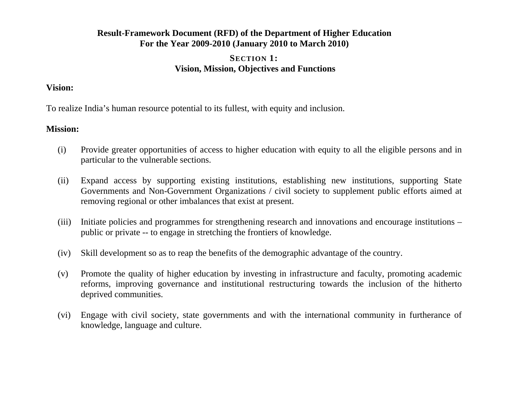# **Result-Framework Document (RFD) of the Department of Higher Education For the Year 2009-2010 (January 2010 to March 2010)**

# **SECTION 1: Vision, Mission, Objectives and Functions**

### **Vision:**

To realize India's human resource potential to its fullest, with equity and inclusion.

### **Mission:**

- (i) Provide greater opportunities of access to higher education with equity to all the eligible persons and in particular to the vulnerable sections.
- (ii) Expand access by supporting existing institutions, establishing new institutions, supporting State Governments and Non-Government Organizations / civil society to supplement public efforts aimed at removing regional or other imbalances that exist at present.
- (iii) Initiate policies and programmes for strengthening research and innovations and encourage institutions public or private -- to engage in stretching the frontiers of knowledge.
- (iv) Skill development so as to reap the benefits of the demographic advantage of the country.
- (v) Promote the quality of higher education by investing in infrastructure and faculty, promoting academic reforms, improving governance and institutional restructuring towards the inclusion of the hitherto deprived communities.
- (vi) Engage with civil society, state governments and with the international community in furtherance of knowledge, language and culture.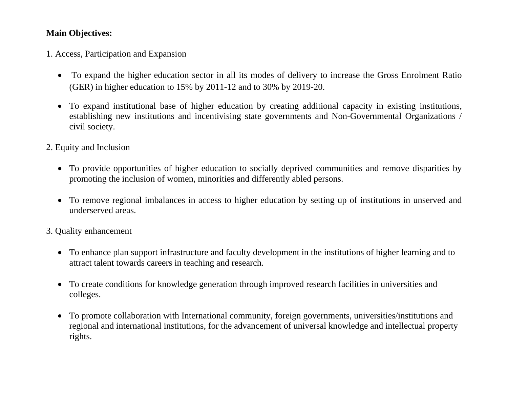# **Main Objectives:**

1. Access, Participation and Expansion

- To expand the higher education sector in all its modes of delivery to increase the Gross Enrolment Ratio (GER) in higher education to 15% by 2011-12 and to 30% by 2019-20.
- To expand institutional base of higher education by creating additional capacity in existing institutions, establishing new institutions and incentivising state governments and Non-Governmental Organizations / civil society.
- 2. Equity and Inclusion
	- To provide opportunities of higher education to socially deprived communities and remove disparities by promoting the inclusion of women, minorities and differently abled persons.
	- To remove regional imbalances in access to higher education by setting up of institutions in unserved and underserved areas.
- 3. Quality enhancement
	- To enhance plan support infrastructure and faculty development in the institutions of higher learning and to attract talent towards careers in teaching and research.
	- To create conditions for knowledge generation through improved research facilities in universities and colleges.
	- To promote collaboration with International community, foreign governments, universities/institutions and regional and international institutions, for the advancement of universal knowledge and intellectual property rights.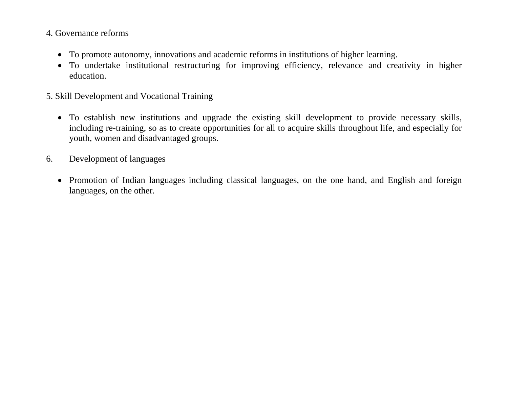# 4. Governance reforms

- To promote autonomy, innovations and academic reforms in institutions of higher learning.
- To undertake institutional restructuring for improving efficiency, relevance and creativity in higher education.
- 5. Skill Development and Vocational Training
	- To establish new institutions and upgrade the existing skill development to provide necessary skills, including re-training, so as to create opportunities for all to acquire skills throughout life, and especially for youth, women and disadvantaged groups.
- 6. Development of languages
	- Promotion of Indian languages including classical languages, on the one hand, and English and foreign languages, on the other.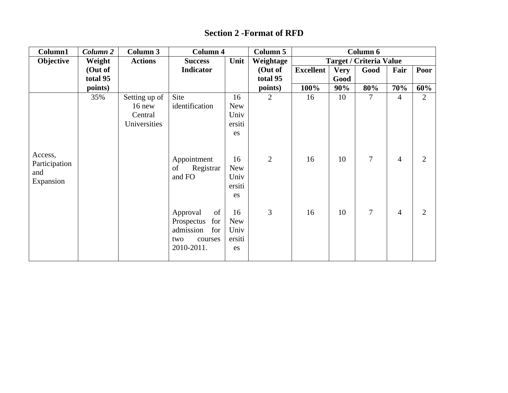# **Section 2 -Format of RFD**

| Column1                                      | Column <sub>2</sub> | Column 3                                             | <b>Column 4</b>                                                                         |                                                                                | Column 5            |                  |             | Column 6                       |                     |                     |
|----------------------------------------------|---------------------|------------------------------------------------------|-----------------------------------------------------------------------------------------|--------------------------------------------------------------------------------|---------------------|------------------|-------------|--------------------------------|---------------------|---------------------|
| Objective                                    | Weight              | <b>Actions</b>                                       | <b>Success</b>                                                                          | Unit                                                                           | Weightage           |                  |             | <b>Target / Criteria Value</b> |                     |                     |
|                                              | (Out of             |                                                      | <b>Indicator</b>                                                                        |                                                                                | (Out of             | <b>Excellent</b> | <b>Very</b> | Good                           | Fair                | Poor                |
|                                              | total 95            |                                                      |                                                                                         |                                                                                | total 95            |                  | Good        |                                |                     |                     |
|                                              | points)             |                                                      |                                                                                         |                                                                                | points)             | 100%             | 90%         | 80%                            | 70%                 | 60%                 |
| Access,<br>Participation<br>and<br>Expansion | 35%                 | Setting up of<br>$16$ new<br>Central<br>Universities | Site<br>identification<br>Appointment<br>Registrar<br>of<br>and FO                      | 16<br><b>New</b><br>Univ<br>ersiti<br>es<br>16<br><b>New</b><br>Univ<br>ersiti | 2<br>$\overline{2}$ | 16<br>16         | 10<br>10    | 7<br>$\overline{7}$            | 4<br>$\overline{4}$ | 2<br>$\overline{2}$ |
|                                              |                     |                                                      | Approval<br>of<br>Prospectus<br>for<br>admission<br>for<br>courses<br>two<br>2010-2011. | es<br>16<br><b>New</b><br>Univ<br>ersiti<br>es                                 | 3                   | 16               | 10          | $\overline{7}$                 | $\overline{4}$      | $\overline{2}$      |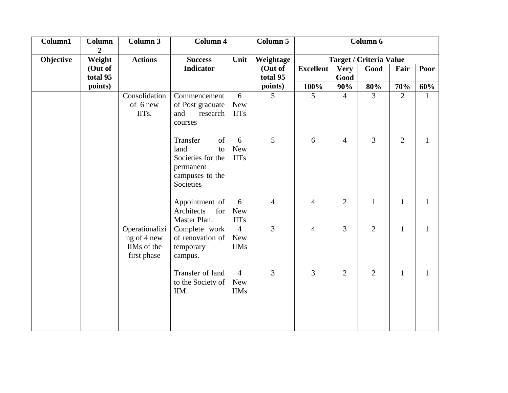| Column1   | Column                     | Column 3                                                    | <b>Column 4</b>                                                                                |                                             | Column 5       |                  |                | Column 6                       |                |              |
|-----------|----------------------------|-------------------------------------------------------------|------------------------------------------------------------------------------------------------|---------------------------------------------|----------------|------------------|----------------|--------------------------------|----------------|--------------|
| Objective | $\boldsymbol{2}$<br>Weight | <b>Actions</b>                                              | <b>Success</b>                                                                                 | Unit                                        | Weightage      |                  |                | <b>Target / Criteria Value</b> |                |              |
|           | (Out of                    |                                                             | <b>Indicator</b>                                                                               |                                             | (Out of        | <b>Excellent</b> | <b>Very</b>    | Good                           | Fair           | Poor         |
|           | total 95                   |                                                             |                                                                                                |                                             | total 95       |                  | Good           |                                |                |              |
|           | points)                    |                                                             |                                                                                                |                                             | points)        | 100%             | 90%            | 80%                            | 70%            | 60%          |
|           |                            | Consolidation<br>of 6 new<br>IITs.                          | Commencement<br>of Post graduate<br>and<br>research<br>courses                                 | 6<br><b>New</b><br><b>IITs</b>              | 5              | 5                | $\overline{4}$ | $\overline{3}$                 | $\overline{2}$ | 1            |
|           |                            |                                                             | of<br>Transfer<br>land<br>to<br>Societies for the<br>permanent<br>campuses to the<br>Societies | 6<br><b>New</b><br><b>IITs</b>              | 5              | 6                | $\overline{4}$ | 3                              | $\overline{2}$ | $\mathbf{1}$ |
|           |                            |                                                             | Appointment of<br>Architects<br>for<br>Master Plan.                                            | 6<br><b>New</b><br><b>IITs</b>              | 4              | $\overline{4}$   | $\overline{2}$ | $\mathbf{1}$                   | $\mathbf{1}$   | $\mathbf{1}$ |
|           |                            | Operationalizi<br>ng of 4 new<br>IIMs of the<br>first phase | Complete work<br>of renovation of<br>temporary<br>campus.                                      | $\overline{4}$<br><b>New</b><br><b>IIMs</b> | $\overline{3}$ | $\overline{4}$   | 3              | $\overline{2}$                 | $\mathbf{1}$   | $\mathbf{1}$ |
|           |                            |                                                             | Transfer of land<br>to the Society of<br>IIM.                                                  | $\overline{4}$<br><b>New</b><br><b>IIMs</b> | 3              | 3                | $\overline{2}$ | $\overline{2}$                 | $\mathbf{1}$   | $\mathbf{1}$ |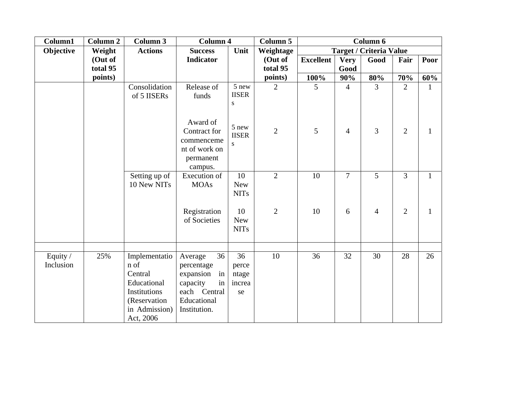| Column1               | <b>Column 2</b> | <b>Column 3</b>                                                                                               | <b>Column 4</b>                                                                                                 |                                      | <b>Column 5</b> |                  |                | Column 6                       |                |              |
|-----------------------|-----------------|---------------------------------------------------------------------------------------------------------------|-----------------------------------------------------------------------------------------------------------------|--------------------------------------|-----------------|------------------|----------------|--------------------------------|----------------|--------------|
| Objective             | Weight          | <b>Actions</b>                                                                                                | <b>Success</b>                                                                                                  | Unit                                 | Weightage       |                  |                | <b>Target / Criteria Value</b> |                |              |
|                       | (Out of         |                                                                                                               | <b>Indicator</b>                                                                                                |                                      | (Out of         | <b>Excellent</b> | <b>Very</b>    | Good                           | Fair           | Poor         |
|                       | total 95        |                                                                                                               |                                                                                                                 |                                      | total 95        |                  | Good           |                                |                |              |
|                       | points)         |                                                                                                               |                                                                                                                 |                                      | points)         | 100%             | 90%            | 80%                            | 70%            | 60%          |
|                       |                 | Consolidation<br>of 5 IISERs                                                                                  | Release of<br>funds                                                                                             | 5 new<br><b>IISER</b><br>S           | $\overline{2}$  | 5                | $\overline{4}$ | $\overline{3}$                 | $\overline{2}$ | $\mathbf{1}$ |
|                       |                 |                                                                                                               | Award of<br>Contract for<br>commenceme<br>nt of work on<br>permanent<br>campus.                                 | 5 new<br><b>IISER</b><br>S           | $\overline{2}$  | 5                | $\overline{4}$ | 3                              | $\overline{2}$ | $\mathbf{1}$ |
|                       |                 | Setting up of<br>10 New NITs                                                                                  | Execution of<br><b>MOAs</b>                                                                                     | 10<br><b>New</b><br><b>NITs</b>      | $\overline{2}$  | 10               | $\tau$         | 5                              | $\overline{3}$ | $\mathbf{1}$ |
|                       |                 |                                                                                                               | Registration<br>of Societies                                                                                    | 10<br><b>New</b><br><b>NITs</b>      | $\mathbf{2}$    | 10               | 6              | $\overline{4}$                 | $\overline{2}$ | $\mathbf{1}$ |
|                       |                 |                                                                                                               |                                                                                                                 |                                      |                 |                  |                |                                |                |              |
| Equity /<br>Inclusion | 25%             | Implementatio<br>n of<br>Central<br>Educational<br>Institutions<br>(Reservation<br>in Admission)<br>Act, 2006 | 36<br>Average<br>percentage<br>expansion<br>in<br>in<br>capacity<br>each Central<br>Educational<br>Institution. | 36<br>perce<br>ntage<br>increa<br>se | 10              | 36               | 32             | 30                             | 28             | 26           |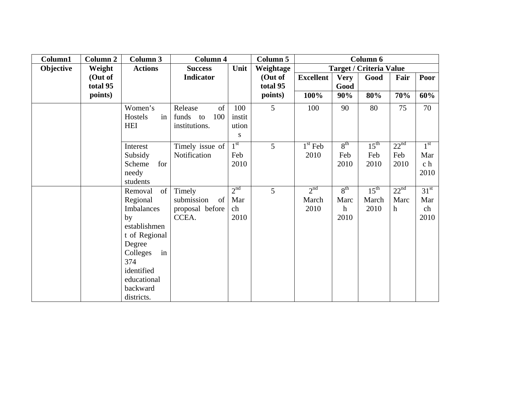| Column1   | <b>Column 2</b> | Column 3       | <b>Column 4</b>  |                 | Column 5  |                  |                 | Column 6                       |                  |                  |
|-----------|-----------------|----------------|------------------|-----------------|-----------|------------------|-----------------|--------------------------------|------------------|------------------|
| Objective | Weight          | <b>Actions</b> | <b>Success</b>   | Unit            | Weightage |                  |                 | <b>Target / Criteria Value</b> |                  |                  |
|           | (Out of         |                | Indicator        |                 | (Out of   | <b>Excellent</b> | <b>Very</b>     | Good                           | Fair             | Poor             |
|           | total 95        |                |                  |                 | total 95  |                  | Good            |                                |                  |                  |
|           | points)         |                |                  |                 | points)   | 100%             | 90%             | 80%                            | 70%              | 60%              |
|           |                 | Women's        | Release<br>of    | 100             | 5         | 100              | 90              | 80                             | 75               | 70               |
|           |                 | in<br>Hostels  | 100<br>funds to  | instit          |           |                  |                 |                                |                  |                  |
|           |                 | HEI            | institutions.    | ution           |           |                  |                 |                                |                  |                  |
|           |                 |                |                  | ${\bf S}$       |           |                  |                 |                                |                  |                  |
|           |                 | Interest       | Timely issue of  | $1^{\rm st}$    | 5         | $1st$ Feb        | $8^{\text{th}}$ | $15^{\text{th}}$               | 22 <sup>nd</sup> | 1 <sup>st</sup>  |
|           |                 | Subsidy        | Notification     | Feb             |           | 2010             | Feb             | Feb                            | Feb              | Mar              |
|           |                 | for<br>Scheme  |                  | 2010            |           |                  | 2010            | 2010                           | 2010             | c <sub>h</sub>   |
|           |                 | needy          |                  |                 |           |                  |                 |                                |                  | 2010             |
|           |                 | students       |                  |                 |           |                  |                 |                                |                  |                  |
|           |                 | of<br>Removal  | Timely           | 2 <sup>nd</sup> | 5         | 2 <sup>nd</sup>  | $8^{\text{th}}$ | $15^{\text{th}}$               | 22 <sup>nd</sup> | 31 <sup>st</sup> |
|           |                 | Regional       | submission<br>of | Mar             |           | March            | Marc            | March                          | Marc             | Mar              |
|           |                 | Imbalances     | proposal before  | ch              |           | 2010             | $\mathbf h$     | 2010                           | $\mathbf{h}$     | ch               |
|           |                 | by             | CCEA.            | 2010            |           |                  | 2010            |                                |                  | 2010             |
|           |                 | establishmen   |                  |                 |           |                  |                 |                                |                  |                  |
|           |                 | t of Regional  |                  |                 |           |                  |                 |                                |                  |                  |
|           |                 | Degree         |                  |                 |           |                  |                 |                                |                  |                  |
|           |                 | Colleges<br>in |                  |                 |           |                  |                 |                                |                  |                  |
|           |                 | 374            |                  |                 |           |                  |                 |                                |                  |                  |
|           |                 | identified     |                  |                 |           |                  |                 |                                |                  |                  |
|           |                 | educational    |                  |                 |           |                  |                 |                                |                  |                  |
|           |                 | backward       |                  |                 |           |                  |                 |                                |                  |                  |
|           |                 | districts.     |                  |                 |           |                  |                 |                                |                  |                  |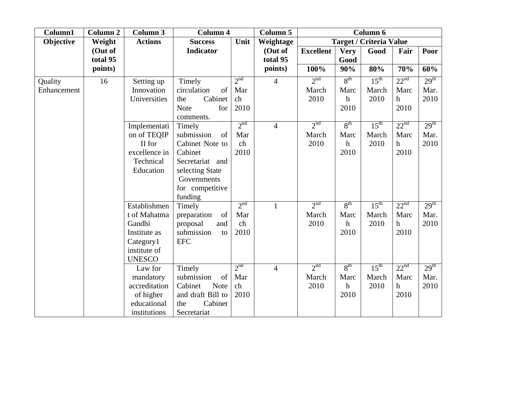| Column1     | <b>Column 2</b> | <b>Column 3</b> | Column 4               |                 | <b>Column 5</b> |                  |                 | Column 6                       |                  |                  |
|-------------|-----------------|-----------------|------------------------|-----------------|-----------------|------------------|-----------------|--------------------------------|------------------|------------------|
| Objective   | Weight          | <b>Actions</b>  | <b>Success</b>         | Unit            | Weightage       |                  |                 | <b>Target / Criteria Value</b> |                  |                  |
|             | (Out of         |                 | <b>Indicator</b>       |                 | (Out of         | <b>Excellent</b> | <b>Very</b>     | Good                           | Fair             | Poor             |
|             | total 95        |                 |                        |                 | total 95        |                  | Good            |                                |                  |                  |
|             | points)         |                 |                        |                 | points)         | 100%             | 90%             | 80%                            | 70%              | 60%              |
| Quality     | 16              | Setting up      | Timely                 | 2 <sup>nd</sup> | $\overline{4}$  | 2 <sup>nd</sup>  | $8^{\text{th}}$ | $15^{\text{th}}$               | 22 <sup>nd</sup> | 29 <sup>th</sup> |
| Enhancement |                 | Innovation      | circulation<br>of      | Mar             |                 | March            | Marc            | March                          | Marc             | Mar.             |
|             |                 | Universities    | Cabinet<br>the         | ch              |                 | 2010             | $\mathbf h$     | 2010                           | $\mathbf h$      | 2010             |
|             |                 |                 | <b>Note</b><br>for     | 2010            |                 |                  | 2010            |                                | 2010             |                  |
|             |                 |                 | comments.              |                 |                 |                  |                 |                                |                  |                  |
|             |                 | Implementati    | Timely                 | 2 <sup>nd</sup> | $\overline{4}$  | 2 <sup>nd</sup>  | $8^{\text{th}}$ | $15^{\text{th}}$               | 22 <sup>nd</sup> | 29 <sup>th</sup> |
|             |                 | on of TEQIP     | submission<br>of       | Mar             |                 | March            | Marc            | March                          | Marc             | Mar.             |
|             |                 | II for          | Cabinet Note to        | ch              |                 | 2010             | $\hbar$         | 2010                           | $\mathbf h$      | 2010             |
|             |                 | excellence in   | Cabinet                | 2010            |                 |                  | 2010            |                                | 2010             |                  |
|             |                 | Technical       | Secretariat and        |                 |                 |                  |                 |                                |                  |                  |
|             |                 | Education       | selecting State        |                 |                 |                  |                 |                                |                  |                  |
|             |                 |                 | Governments            |                 |                 |                  |                 |                                |                  |                  |
|             |                 |                 | for competitive        |                 |                 |                  |                 |                                |                  |                  |
|             |                 |                 | funding                |                 |                 |                  |                 |                                |                  |                  |
|             |                 | Establishmen    | Timely                 | 2 <sup>nd</sup> | $\mathbf{1}$    | 2 <sup>nd</sup>  | $8^{\text{th}}$ | $15^{\text{th}}$               | 22 <sup>nd</sup> | 29 <sup>th</sup> |
|             |                 | t of Mahatma    | of<br>preparation      | Mar             |                 | March            | Marc            | March                          | Marc             | Mar.             |
|             |                 | Gandhi          | proposal<br>and        | ch              |                 | 2010             | $\mathbf{h}$    | 2010                           | $\mathbf h$      | 2010             |
|             |                 | Institute as    | submission<br>to       | 2010            |                 |                  | 2010            |                                | 2010             |                  |
|             |                 | Category1       | <b>EFC</b>             |                 |                 |                  |                 |                                |                  |                  |
|             |                 | institute of    |                        |                 |                 |                  |                 |                                |                  |                  |
|             |                 | <b>UNESCO</b>   |                        |                 |                 |                  |                 |                                |                  |                  |
|             |                 | Law for         | Timely                 | 2 <sup>nd</sup> | $\overline{4}$  | 2 <sup>nd</sup>  | 8 <sup>th</sup> | 15 <sup>th</sup>               | 22 <sup>nd</sup> | 29 <sup>th</sup> |
|             |                 | mandatory       | submission<br>of       | Mar             |                 | March            | Marc            | March                          | Marc             | Mar.             |
|             |                 | accreditation   | Cabinet<br><b>Note</b> | ch              |                 | 2010             | $\mathbf h$     | 2010                           | $\boldsymbol{h}$ | 2010             |
|             |                 | of higher       | and draft Bill to      | 2010            |                 |                  | 2010            |                                | 2010             |                  |
|             |                 | educational     | Cabinet<br>the         |                 |                 |                  |                 |                                |                  |                  |
|             |                 | institutions    | Secretariat            |                 |                 |                  |                 |                                |                  |                  |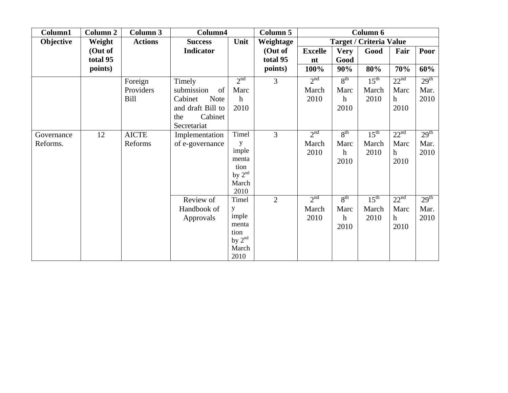| Column1                | <b>Column 2</b>     | <b>Column 3</b>                     | Column4                                                                                                    |                                                                   | <b>Column 5</b>     |                                  |                                                | Column 6                          |                                       |                                  |
|------------------------|---------------------|-------------------------------------|------------------------------------------------------------------------------------------------------------|-------------------------------------------------------------------|---------------------|----------------------------------|------------------------------------------------|-----------------------------------|---------------------------------------|----------------------------------|
| Objective              | Weight              | <b>Actions</b>                      | <b>Success</b>                                                                                             | Unit                                                              | Weightage           |                                  |                                                | <b>Target / Criteria Value</b>    |                                       |                                  |
|                        | (Out of<br>total 95 |                                     | Indicator                                                                                                  |                                                                   | (Out of<br>total 95 | <b>Excelle</b><br>nt             | <b>Very</b><br>Good                            | Good                              | Fair                                  | Poor                             |
|                        | points)             |                                     |                                                                                                            |                                                                   | points)             | 100%                             | 90%                                            | 80%                               | 70%                                   | 60%                              |
|                        |                     | Foreign<br>Providers<br><b>Bill</b> | Timely<br>submission<br>of<br>Cabinet<br><b>Note</b><br>and draft Bill to<br>Cabinet<br>the<br>Secretariat | 2 <sup>nd</sup><br>Marc<br>$\mathbf h$<br>2010                    | 3                   | 2 <sup>nd</sup><br>March<br>2010 | $8^{\text{th}}$<br>Marc<br>$\mathbf h$<br>2010 | $15^{\text{th}}$<br>March<br>2010 | 22 <sup>nd</sup><br>Marc<br>h<br>2010 | 29 <sup>th</sup><br>Mar.<br>2010 |
| Governance<br>Reforms. | 12                  | <b>AICTE</b><br>Reforms             | Implementation<br>of e-governance                                                                          | Timel<br>y<br>imple<br>menta<br>tion<br>by $2nd$<br>March<br>2010 | 3                   | 2 <sup>nd</sup><br>March<br>2010 | $8^{\text{th}}$<br>Marc<br>$\mathbf h$<br>2010 | $15^{\text{th}}$<br>March<br>2010 | 22 <sup>nd</sup><br>Marc<br>h<br>2010 | 29 <sup>th</sup><br>Mar.<br>2010 |
|                        |                     |                                     | Review of<br>Handbook of<br>Approvals                                                                      | Timel<br>у<br>imple<br>menta<br>tion<br>by $2nd$<br>March<br>2010 | $\overline{2}$      | 2 <sup>nd</sup><br>March<br>2010 | $8^{\text{th}}$<br>Marc<br>$\mathbf h$<br>2010 | $15^{\text{th}}$<br>March<br>2010 | 22 <sup>nd</sup><br>Marc<br>h<br>2010 | 29 <sup>th</sup><br>Mar.<br>2010 |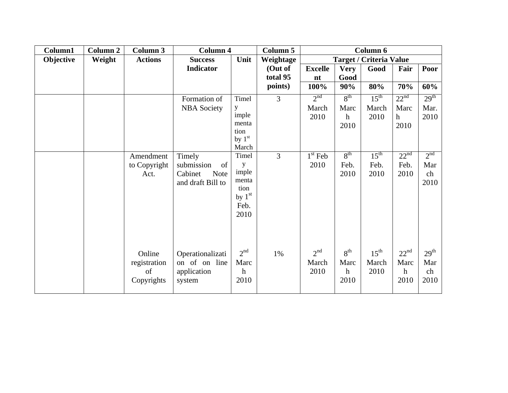| Column1   | <b>Column 2</b> | <b>Column 3</b> | <b>Column 4</b>        |                   | <b>Column 5</b> | Column 6        |                  |                                |                  |                  |
|-----------|-----------------|-----------------|------------------------|-------------------|-----------------|-----------------|------------------|--------------------------------|------------------|------------------|
| Objective | Weight          | <b>Actions</b>  | <b>Success</b>         | Unit              | Weightage       |                 |                  | <b>Target / Criteria Value</b> |                  |                  |
|           |                 |                 | Indicator              |                   | (Out of         | <b>Excelle</b>  | <b>Very</b>      | Good                           | Fair             | Poor             |
|           |                 |                 |                        |                   | total 95        | n t             | Good             |                                |                  |                  |
|           |                 |                 |                        |                   | points)         | 100%            | 90%              | 80%                            | 70%              | 60%              |
|           |                 |                 | Formation of           | Timel             | $\overline{3}$  | 2 <sup>nd</sup> | 8 <sup>th</sup>  | 15 <sup>th</sup>               | 22 <sup>nd</sup> | 29 <sup>th</sup> |
|           |                 |                 | <b>NBA</b> Society     | y                 |                 | March           | Marc             | March                          | Marc             | Mar.             |
|           |                 |                 |                        | imple             |                 | 2010            | $\mathbf h$      | 2010                           | $\mathbf h$      | 2010             |
|           |                 |                 |                        | menta             |                 |                 | 2010             |                                | 2010             |                  |
|           |                 |                 |                        | tion              |                 |                 |                  |                                |                  |                  |
|           |                 |                 |                        | by $1st$<br>March |                 |                 |                  |                                |                  |                  |
|           |                 | Amendment       | Timely                 | Timel             | $\overline{3}$  | $1st$ Feb       | 8 <sup>th</sup>  | $15^{\text{th}}$               | 22 <sup>nd</sup> | 2 <sup>nd</sup>  |
|           |                 | to Copyright    | submission<br>of       | y                 |                 | 2010            | Feb.             | Feb.                           | Feb.             | Mar              |
|           |                 | Act.            | Cabinet<br><b>Note</b> | imple             |                 |                 | 2010             | 2010                           | 2010             | ch               |
|           |                 |                 | and draft Bill to      | menta             |                 |                 |                  |                                |                  | 2010             |
|           |                 |                 |                        | tion              |                 |                 |                  |                                |                  |                  |
|           |                 |                 |                        | by $1st$          |                 |                 |                  |                                |                  |                  |
|           |                 |                 |                        | Feb.              |                 |                 |                  |                                |                  |                  |
|           |                 |                 |                        | 2010              |                 |                 |                  |                                |                  |                  |
|           |                 |                 |                        |                   |                 |                 |                  |                                |                  |                  |
|           |                 |                 |                        |                   |                 |                 |                  |                                |                  |                  |
|           |                 |                 |                        |                   |                 |                 |                  |                                |                  |                  |
|           |                 | Online          | Operationalizati       | 2 <sup>nd</sup>   | 1%              | 2 <sup>nd</sup> | 8 <sup>th</sup>  | $15^{\text{th}}$               | 22 <sup>nd</sup> | 29 <sup>th</sup> |
|           |                 | registration    | on of on line          | Marc              |                 | March           | Marc             | March                          | Marc             | Mar              |
|           |                 | of              | application            | h                 |                 | 2010            | $\boldsymbol{h}$ | 2010                           | $\mathbf h$      | ch               |
|           |                 | Copyrights      | system                 | 2010              |                 |                 | 2010             |                                | 2010             | 2010             |
|           |                 |                 |                        |                   |                 |                 |                  |                                |                  |                  |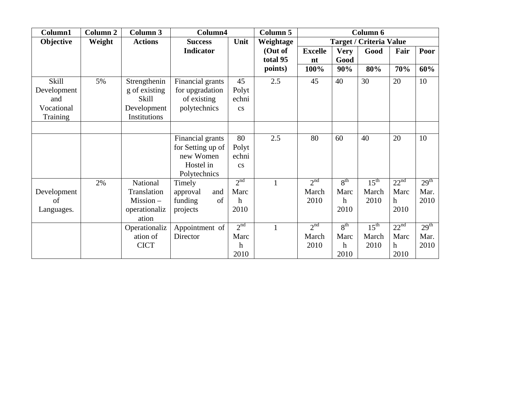| Column1                                                      | <b>Column 2</b> | Column 3                                                                     | Column4<br><b>Column 5</b>                                                      |                                                     |                     |                                  | Column 6                                                     |                                   |                                       |                                  |
|--------------------------------------------------------------|-----------------|------------------------------------------------------------------------------|---------------------------------------------------------------------------------|-----------------------------------------------------|---------------------|----------------------------------|--------------------------------------------------------------|-----------------------------------|---------------------------------------|----------------------------------|
| Objective                                                    | Weight          | <b>Actions</b>                                                               | <b>Success</b>                                                                  | Unit                                                | Weightage           |                                  |                                                              | <b>Target / Criteria Value</b>    |                                       |                                  |
|                                                              |                 |                                                                              | <b>Indicator</b>                                                                |                                                     | (Out of<br>total 95 | <b>Excelle</b><br>nt             | <b>Very</b><br>Good                                          | Good                              | Fair                                  | Poor                             |
|                                                              |                 |                                                                              |                                                                                 |                                                     | points)             | 100%                             | 90%                                                          | 80%                               | 70%                                   | 60%                              |
| <b>Skill</b><br>Development<br>and<br>Vocational<br>Training | 5%              | Strengthenin<br>g of existing<br><b>Skill</b><br>Development<br>Institutions | Financial grants<br>for upgradation<br>of existing<br>polytechnics              | 45<br>Polyt<br>echni<br>$\mathbf{c}\mathbf{s}$      | 2.5                 | 45                               | 40                                                           | 30                                | 20                                    | 10                               |
|                                                              |                 |                                                                              |                                                                                 |                                                     |                     |                                  |                                                              |                                   |                                       |                                  |
|                                                              |                 |                                                                              | Financial grants<br>for Setting up of<br>new Women<br>Hostel in<br>Polytechnics | 80<br>Polyt<br>echni<br>$\mathbf{c}\mathbf{s}$      | 2.5                 | 80                               | 60                                                           | 40                                | 20                                    | 10                               |
| Development<br>of<br>Languages.                              | 2%              | National<br>Translation<br>Mission –<br>operationaliz<br>ation               | Timely<br>approval<br>and<br>funding<br>of<br>projects                          | 2 <sup>nd</sup><br>Marc<br>h<br>2010                |                     | 2 <sup>nd</sup><br>March<br>2010 | 8 <sup>th</sup><br>Marc<br>$\boldsymbol{\mathrm{h}}$<br>2010 | $15^{\text{th}}$<br>March<br>2010 | 22 <sup>nd</sup><br>Marc<br>h<br>2010 | 29 <sup>th</sup><br>Mar.<br>2010 |
|                                                              |                 | Operationaliz<br>ation of<br><b>CICT</b>                                     | Appointment of<br>Director                                                      | 2 <sup>nd</sup><br>Marc<br>$\boldsymbol{h}$<br>2010 |                     | 2 <sup>nd</sup><br>March<br>2010 | 8 <sup>th</sup><br>Marc<br>$\mathbf h$<br>2010               | $15^{\text{th}}$<br>March<br>2010 | 22 <sup>nd</sup><br>Marc<br>h<br>2010 | 29 <sup>th</sup><br>Mar.<br>2010 |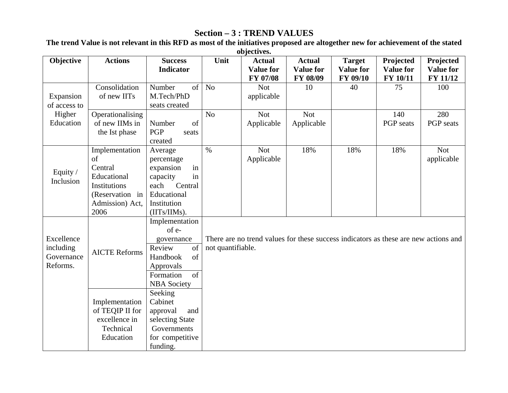# **Section – 3 : TREND VALUES**

**Objective Actions Success Indicator Unit Actual Value for FY 07/08 Actual Value for FY 08/09 Target Value for FY 09/10 Projected Value for FY 10/11 Projected Value for FY 11/12** Consolidation of new IITs Number of M.Tech/PhD seats created No Not applicable 10 100 1 75 1 100 Expansion of access to Higher EducationOperationalising of new IIMs in the Ist phase Number of PGP seats created No Not Applicable Not Applicable 140 PGP seats 280 PGP seats Equity / Inclusion Implementation of Central Educational Institutions (Reservation in Admission) Act, 2006 Average percentage expansion in capacity in each Central Educational Institution (IITs/IIMs). % Not Applicable 18% 18% 18% Not applicable Implementation of egovernance Review of Handbook of Approvals AICTE Reforms Formation of NBA Society Excellence including Governance Reforms. Implementation of TEQIP II for excellence in Technical Education Seeking Cabinet approval and selecting State Governments for competitive funding. There are no trend values for these success indicators as these are new actions and not quantifiable.

**The trend Value is not relevant in this RFD as most of the initiatives proposed are altogether new for achievement of the stated objectives.**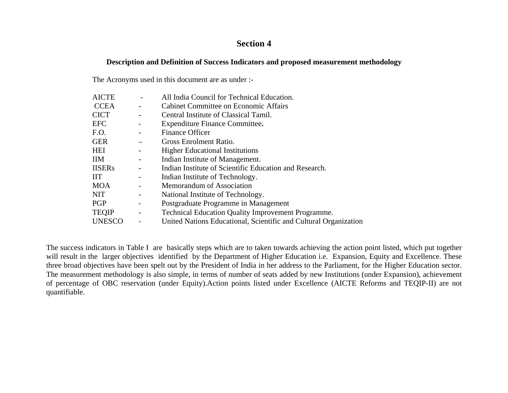### **Section 4**

#### **Description and Definition of Success Indicators and proposed measurement methodology**

The Acronyms used in this document are as under :-

| <b>AICTE</b>  |                          | All India Council for Technical Education.                       |
|---------------|--------------------------|------------------------------------------------------------------|
| <b>CCEA</b>   |                          | Cabinet Committee on Economic Affairs                            |
| <b>CICT</b>   |                          | Central Institute of Classical Tamil.                            |
| <b>EFC</b>    |                          | Expenditure Finance Committee.                                   |
| F.O.          |                          | <b>Finance Officer</b>                                           |
| <b>GER</b>    |                          | Gross Enrolment Ratio.                                           |
| <b>HEI</b>    |                          | <b>Higher Educational Institutions</b>                           |
| <b>IIM</b>    |                          | Indian Institute of Management.                                  |
| <b>IISERs</b> |                          | Indian Institute of Scientific Education and Research.           |
| <b>IIT</b>    |                          | Indian Institute of Technology.                                  |
| <b>MOA</b>    |                          | Memorandum of Association                                        |
| <b>NIT</b>    |                          | National Institute of Technology.                                |
| <b>PGP</b>    |                          | Postgraduate Programme in Management                             |
| <b>TEQIP</b>  | $\overline{\phantom{a}}$ | <b>Technical Education Quality Improvement Programme.</b>        |
| <b>UNESCO</b> |                          | United Nations Educational, Scientific and Cultural Organization |

The success indicators in Table I are basically steps which are to taken towards achieving the action point listed, which put together will result in the larger objectives identified by the Department of Higher Education i.e. Expansion, Equity and Excellence. These three broad objectives have been spelt out by the President of India in her address to the Parliament, for the Higher Education sector. The measurement methodology is also simple, in terms of number of seats added by new Institutions (under Expansion), achievement of percentage of OBC reservation (under Equity).Action points listed under Excellence (AICTE Reforms and TEQIP-II) are not quantifiable.